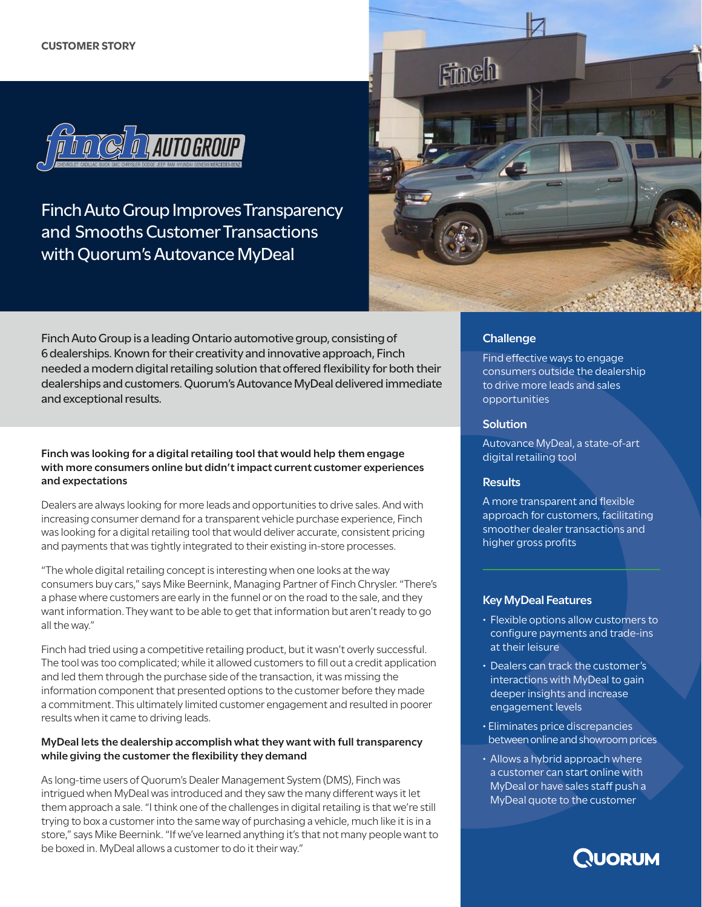

Finch Auto Group Improves Transparency and Smooths Customer Transactions with Quorum's Autovance MyDeal



Finch Auto Group is a leading Ontario automotive group, consisting of 6 dealerships. Known for their creativity and innovative approach, Finch needed a modern digital retailing solution that offered flexibility for both their dealerships and customers. Quorum's Autovance MyDeal delivered immediate and exceptional results.

## **Finch was looking for a digital retailing tool that would help them engage with more consumers online but didn't impact current customer experiences and expectations**

Dealers are always looking for more leads and opportunities to drive sales. And with increasing consumer demand for a transparent vehicle purchase experience, Finch was looking for a digital retailing tool that would deliver accurate, consistent pricing and payments that was tightly integrated to their existing in-store processes.

"The whole digital retailing concept is interesting when one looks at the way consumers buy cars," says Mike Beernink, Managing Partner of Finch Chrysler. "There's a phase where customers are early in the funnel or on the road to the sale, and they want information. They want to be able to get that information but aren't ready to go all the way."

Finch had tried using a competitive retailing product, but it wasn't overly successful. The tool was too complicated; while it allowed customers to fill out a credit application and led them through the purchase side of the transaction, it was missing the information component that presented options to the customer before they made a commitment. This ultimately limited customer engagement and resulted in poorer results when it came to driving leads.

### **MyDeal lets the dealership accomplish what they want with full transparency while giving the customer the flexibility they demand**

As long-time users of Quorum's Dealer Management System (DMS), Finch was intrigued when MyDeal was introduced and they saw the many different ways it let them approach a sale. "I think one of the challenges in digital retailing is that we're still trying to box a customer into the same way of purchasing a vehicle, much like it is in a store," says Mike Beernink. "If we've learned anything it's that not many people want to be boxed in. MyDeal allows a customer to do it their way."

# **Challenge**

Find effective ways to engage consumers outside the dealership to drive more leads and sales opportunities

## **Solution**

Autovance MyDeal, a state-of-art digital retailing tool

### **Results**

A more transparent and flexible approach for customers, facilitating smoother dealer transactions and higher gross profits

# **Key MyDeal Features**

- Flexible options allow customers to configure payments and trade-ins at their leisure
- Dealers can track the customer's interactions with MyDeal to gain deeper insights and increase engagement levels
- Eliminates price discrepancies between online and showroom prices
- Allows a hybrid approach where a customer can start online with MyDeal or have sales staff push a MyDeal quote to the customer